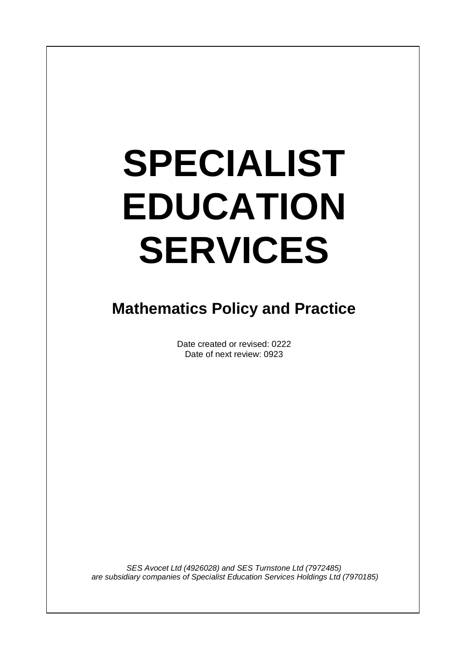# **SPECIALIST EDUCATION SERVICES**

 $\overline{\phantom{a}}$ 

# **Mathematics Policy and Practice**

Date created or revised: 0222 Date of next review: 0923

*SES Avocet Ltd (4926028) and SES Turnstone Ltd (7972485) are subsidiary companies of Specialist Education Services Holdings Ltd (7970185)*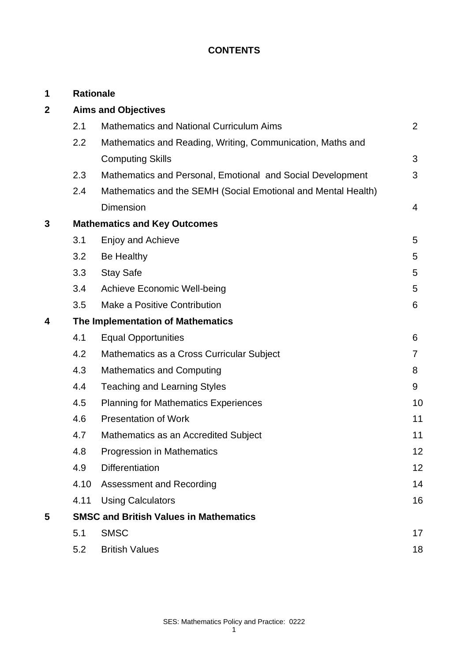# **CONTENTS**

| 1                |                                               | <b>Rationale</b>                                              |                |  |
|------------------|-----------------------------------------------|---------------------------------------------------------------|----------------|--|
| $\boldsymbol{2}$ | <b>Aims and Objectives</b>                    |                                                               |                |  |
|                  | 2.1                                           | <b>Mathematics and National Curriculum Aims</b>               | $\overline{2}$ |  |
|                  | 2.2                                           | Mathematics and Reading, Writing, Communication, Maths and    |                |  |
|                  |                                               | <b>Computing Skills</b>                                       | 3              |  |
|                  | 2.3                                           | Mathematics and Personal, Emotional and Social Development    | 3              |  |
|                  | 2.4                                           | Mathematics and the SEMH (Social Emotional and Mental Health) |                |  |
|                  |                                               | <b>Dimension</b>                                              | 4              |  |
| 3                | <b>Mathematics and Key Outcomes</b>           |                                                               |                |  |
|                  | 3.1                                           | Enjoy and Achieve                                             | 5              |  |
|                  | 3.2                                           | Be Healthy                                                    | 5              |  |
|                  | 3.3                                           | <b>Stay Safe</b>                                              | 5              |  |
|                  | 3.4                                           | <b>Achieve Economic Well-being</b>                            | 5              |  |
|                  | 3.5                                           | Make a Positive Contribution                                  | 6              |  |
| 4                | The Implementation of Mathematics             |                                                               |                |  |
|                  | 4.1                                           | <b>Equal Opportunities</b>                                    | 6              |  |
|                  | 4.2                                           | Mathematics as a Cross Curricular Subject                     | $\overline{7}$ |  |
|                  | 4.3                                           | <b>Mathematics and Computing</b>                              | 8              |  |
|                  | 4.4                                           | <b>Teaching and Learning Styles</b>                           | 9              |  |
|                  | 4.5                                           | <b>Planning for Mathematics Experiences</b>                   | 10             |  |
|                  | 4.6                                           | <b>Presentation of Work</b>                                   | 11             |  |
|                  | 4.7                                           | Mathematics as an Accredited Subject                          | 11             |  |
|                  | 4.8                                           | <b>Progression in Mathematics</b>                             | 12             |  |
|                  | 4.9                                           | <b>Differentiation</b>                                        | 12             |  |
|                  | 4.10                                          | Assessment and Recording                                      | 14             |  |
|                  | 4.11                                          | <b>Using Calculators</b>                                      | 16             |  |
| 5                | <b>SMSC and British Values in Mathematics</b> |                                                               |                |  |
|                  | 5.1                                           | <b>SMSC</b>                                                   | 17             |  |
|                  | 5.2                                           | <b>British Values</b>                                         | 18             |  |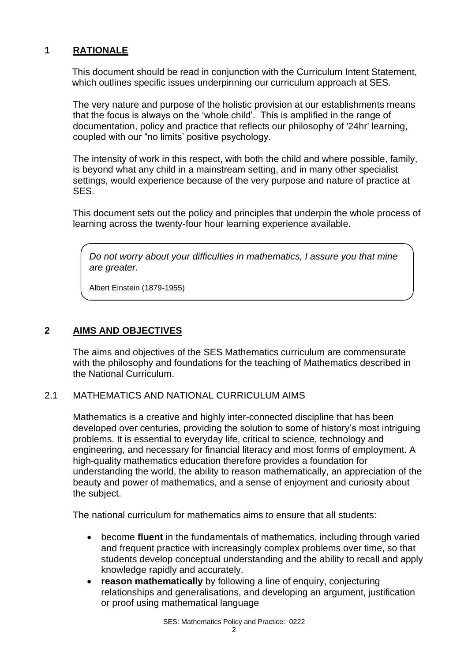# **1 RATIONALE**

This document should be read in conjunction with the Curriculum Intent Statement, which outlines specific issues underpinning our curriculum approach at SES.

The very nature and purpose of the holistic provision at our establishments means that the focus is always on the 'whole child'. This is amplified in the range of documentation, policy and practice that reflects our philosophy of '24hr' learning, coupled with our "no limits' positive psychology.

The intensity of work in this respect, with both the child and where possible, family, is beyond what any child in a mainstream setting, and in many other specialist settings, would experience because of the very purpose and nature of practice at SES.

This document sets out the policy and principles that underpin the whole process of learning across the twenty-four hour learning experience available.

*Do not worry about your difficulties in mathematics, I assure you that mine are greater.*

Albert Einstein (1879-1955)

# **2 AIMS AND OBJECTIVES**

The aims and objectives of the SES Mathematics curriculum are commensurate with the philosophy and foundations for the teaching of Mathematics described in the National Curriculum.

#### 2.1 MATHEMATICS AND NATIONAL CURRICULUM AIMS

Mathematics is a creative and highly inter-connected discipline that has been developed over centuries, providing the solution to some of history's most intriguing problems. It is essential to everyday life, critical to science, technology and engineering, and necessary for financial literacy and most forms of employment. A high-quality mathematics education therefore provides a foundation for understanding the world, the ability to reason mathematically, an appreciation of the beauty and power of mathematics, and a sense of enjoyment and curiosity about the subject.

The national curriculum for mathematics aims to ensure that all students:

- become **fluent** in the fundamentals of mathematics, including through varied and frequent practice with increasingly complex problems over time, so that students develop conceptual understanding and the ability to recall and apply knowledge rapidly and accurately.
- **reason mathematically** by following a line of enquiry, conjecturing relationships and generalisations, and developing an argument, justification or proof using mathematical language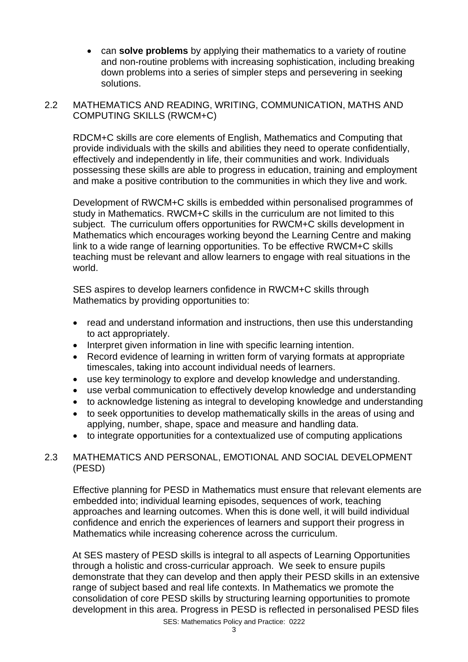- can **solve problems** by applying their mathematics to a variety of routine and non-routine problems with increasing sophistication, including breaking down problems into a series of simpler steps and persevering in seeking solutions.
- 2.2 MATHEMATICS AND READING, WRITING, COMMUNICATION, MATHS AND COMPUTING SKILLS (RWCM+C)

RDCM+C skills are core elements of English, Mathematics and Computing that provide individuals with the skills and abilities they need to operate confidentially, effectively and independently in life, their communities and work. Individuals possessing these skills are able to progress in education, training and employment and make a positive contribution to the communities in which they live and work.

Development of RWCM+C skills is embedded within personalised programmes of study in Mathematics. RWCM+C skills in the curriculum are not limited to this subject. The curriculum offers opportunities for RWCM+C skills development in Mathematics which encourages working beyond the Learning Centre and making link to a wide range of learning opportunities. To be effective RWCM+C skills teaching must be relevant and allow learners to engage with real situations in the world.

SES aspires to develop learners confidence in RWCM+C skills through Mathematics by providing opportunities to:

- read and understand information and instructions, then use this understanding to act appropriately.
- Interpret given information in line with specific learning intention.
- Record evidence of learning in written form of varying formats at appropriate timescales, taking into account individual needs of learners.
- use key terminology to explore and develop knowledge and understanding.
- use verbal communication to effectively develop knowledge and understanding
- to acknowledge listening as integral to developing knowledge and understanding
- to seek opportunities to develop mathematically skills in the areas of using and applying, number, shape, space and measure and handling data.
- to integrate opportunities for a contextualized use of computing applications

# 2.3 MATHEMATICS AND PERSONAL, EMOTIONAL AND SOCIAL DEVELOPMENT (PESD)

Effective planning for PESD in Mathematics must ensure that relevant elements are embedded into; individual learning episodes, sequences of work, teaching approaches and learning outcomes. When this is done well, it will build individual confidence and enrich the experiences of learners and support their progress in Mathematics while increasing coherence across the curriculum.

At SES mastery of PESD skills is integral to all aspects of Learning Opportunities through a holistic and cross-curricular approach. We seek to ensure pupils demonstrate that they can develop and then apply their PESD skills in an extensive range of subject based and real life contexts. In Mathematics we promote the consolidation of core PESD skills by structuring learning opportunities to promote development in this area. Progress in PESD is reflected in personalised PESD files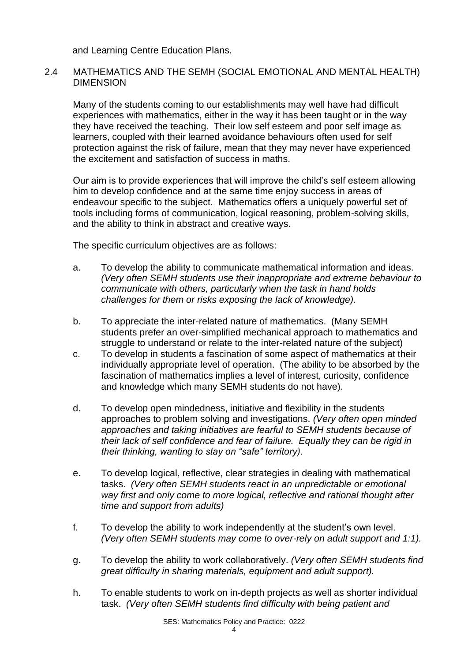and Learning Centre Education Plans.

#### 2.4 MATHEMATICS AND THE SEMH (SOCIAL EMOTIONAL AND MENTAL HEALTH) DIMENSION

Many of the students coming to our establishments may well have had difficult experiences with mathematics, either in the way it has been taught or in the way they have received the teaching. Their low self esteem and poor self image as learners, coupled with their learned avoidance behaviours often used for self protection against the risk of failure, mean that they may never have experienced the excitement and satisfaction of success in maths.

Our aim is to provide experiences that will improve the child's self esteem allowing him to develop confidence and at the same time enjoy success in areas of endeavour specific to the subject. Mathematics offers a uniquely powerful set of tools including forms of communication, logical reasoning, problem-solving skills, and the ability to think in abstract and creative ways.

The specific curriculum objectives are as follows:

- a. To develop the ability to communicate mathematical information and ideas. *(Very often SEMH students use their inappropriate and extreme behaviour to communicate with others, particularly when the task in hand holds challenges for them or risks exposing the lack of knowledge).*
- b. To appreciate the inter-related nature of mathematics. (Many SEMH students prefer an over-simplified mechanical approach to mathematics and struggle to understand or relate to the inter-related nature of the subject)
- c. To develop in students a fascination of some aspect of mathematics at their individually appropriate level of operation. (The ability to be absorbed by the fascination of mathematics implies a level of interest, curiosity, confidence and knowledge which many SEMH students do not have).
- d. To develop open mindedness, initiative and flexibility in the students approaches to problem solving and investigations. *(Very often open minded approaches and taking initiatives are fearful to SEMH students because of their lack of self confidence and fear of failure. Equally they can be rigid in their thinking, wanting to stay on "safe" territory).*
- e. To develop logical, reflective, clear strategies in dealing with mathematical tasks. *(Very often SEMH students react in an unpredictable or emotional way first and only come to more logical, reflective and rational thought after time and support from adults)*
- f. To develop the ability to work independently at the student's own level. *(Very often SEMH students may come to over-rely on adult support and 1:1).*
- g. To develop the ability to work collaboratively. *(Very often SEMH students find great difficulty in sharing materials, equipment and adult support).*
- h. To enable students to work on in-depth projects as well as shorter individual task. *(Very often SEMH students find difficulty with being patient and*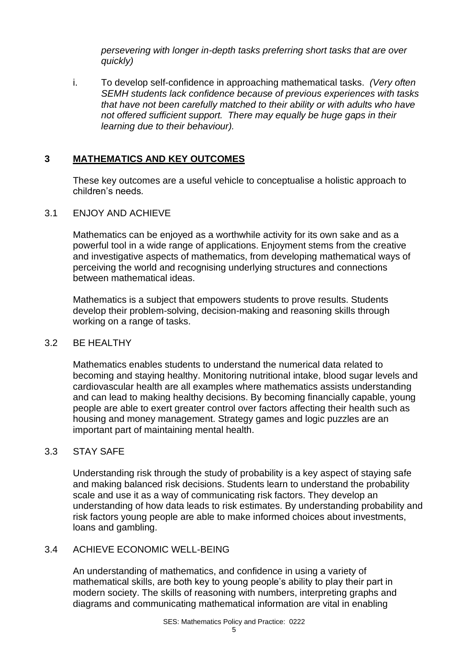*persevering with longer in-depth tasks preferring short tasks that are over quickly)*

i. To develop self-confidence in approaching mathematical tasks. *(Very often SEMH students lack confidence because of previous experiences with tasks that have not been carefully matched to their ability or with adults who have not offered sufficient support. There may equally be huge gaps in their learning due to their behaviour).*

# **3 MATHEMATICS AND KEY OUTCOMES**

These key outcomes are a useful vehicle to conceptualise a holistic approach to children's needs*.*

# 3.1 ENJOY AND ACHIEVE

Mathematics can be enjoyed as a worthwhile activity for its own sake and as a powerful tool in a wide range of applications. Enjoyment stems from the creative and investigative aspects of mathematics, from developing mathematical ways of perceiving the world and recognising underlying structures and connections between mathematical ideas.

Mathematics is a subject that empowers students to prove results. Students develop their problem-solving, decision-making and reasoning skills through working on a range of tasks.

# 3.2 BE HEALTHY

Mathematics enables students to understand the numerical data related to becoming and staying healthy. Monitoring nutritional intake, blood sugar levels and cardiovascular health are all examples where mathematics assists understanding and can lead to making healthy decisions. By becoming financially capable, young people are able to exert greater control over factors affecting their health such as housing and money management. Strategy games and logic puzzles are an important part of maintaining mental health.

# 3.3 STAY SAFE

Understanding risk through the study of probability is a key aspect of staying safe and making balanced risk decisions. Students learn to understand the probability scale and use it as a way of communicating risk factors. They develop an understanding of how data leads to risk estimates. By understanding probability and risk factors young people are able to make informed choices about investments, loans and gambling.

# 3.4 ACHIEVE ECONOMIC WELL-BEING

An understanding of mathematics, and confidence in using a variety of mathematical skills, are both key to young people's ability to play their part in modern society. The skills of reasoning with numbers, interpreting graphs and diagrams and communicating mathematical information are vital in enabling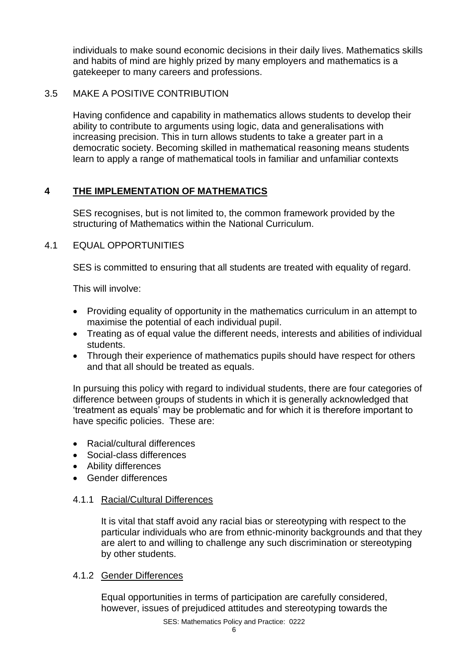individuals to make sound economic decisions in their daily lives. Mathematics skills and habits of mind are highly prized by many employers and mathematics is a gatekeeper to many careers and professions.

## 3.5 MAKE A POSITIVE CONTRIBUTION

Having confidence and capability in mathematics allows students to develop their ability to contribute to arguments using logic, data and generalisations with increasing precision. This in turn allows students to take a greater part in a democratic society. Becoming skilled in mathematical reasoning means students learn to apply a range of mathematical tools in familiar and unfamiliar contexts

# **4 THE IMPLEMENTATION OF MATHEMATICS**

SES recognises, but is not limited to, the common framework provided by the structuring of Mathematics within the National Curriculum.

#### 4.1 EQUAL OPPORTUNITIES

SES is committed to ensuring that all students are treated with equality of regard.

This will involve:

- Providing equality of opportunity in the mathematics curriculum in an attempt to maximise the potential of each individual pupil.
- Treating as of equal value the different needs, interests and abilities of individual students.
- Through their experience of mathematics pupils should have respect for others and that all should be treated as equals.

In pursuing this policy with regard to individual students, there are four categories of difference between groups of students in which it is generally acknowledged that 'treatment as equals' may be problematic and for which it is therefore important to have specific policies. These are:

- Racial/cultural differences
- Social-class differences
- Ability differences
- Gender differences

#### 4.1.1 Racial/Cultural Differences

It is vital that staff avoid any racial bias or stereotyping with respect to the particular individuals who are from ethnic-minority backgrounds and that they are alert to and willing to challenge any such discrimination or stereotyping by other students.

#### 4.1.2 Gender Differences

Equal opportunities in terms of participation are carefully considered, however, issues of prejudiced attitudes and stereotyping towards the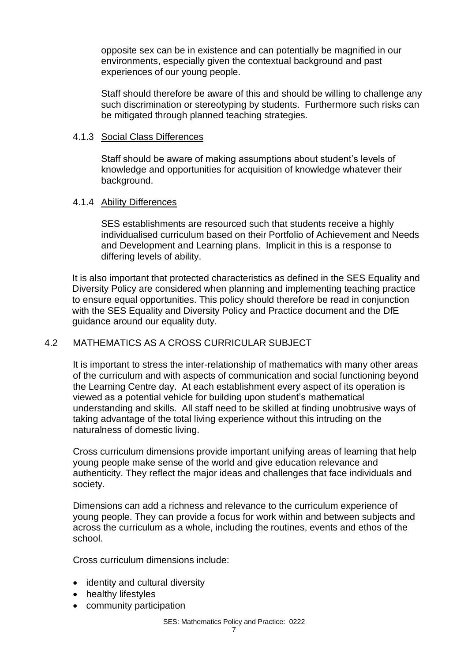opposite sex can be in existence and can potentially be magnified in our environments, especially given the contextual background and past experiences of our young people.

Staff should therefore be aware of this and should be willing to challenge any such discrimination or stereotyping by students. Furthermore such risks can be mitigated through planned teaching strategies.

#### 4.1.3 Social Class Differences

Staff should be aware of making assumptions about student's levels of knowledge and opportunities for acquisition of knowledge whatever their background.

#### 4.1.4 Ability Differences

SES establishments are resourced such that students receive a highly individualised curriculum based on their Portfolio of Achievement and Needs and Development and Learning plans. Implicit in this is a response to differing levels of ability.

It is also important that protected characteristics as defined in the SES Equality and Diversity Policy are considered when planning and implementing teaching practice to ensure equal opportunities. This policy should therefore be read in conjunction with the SES Equality and Diversity Policy and Practice document and the DfE guidance around our equality duty.

#### 4.2 MATHEMATICS AS A CROSS CURRICULAR SUBJECT

It is important to stress the inter-relationship of mathematics with many other areas of the curriculum and with aspects of communication and social functioning beyond the Learning Centre day. At each establishment every aspect of its operation is viewed as a potential vehicle for building upon student's mathematical understanding and skills. All staff need to be skilled at finding unobtrusive ways of taking advantage of the total living experience without this intruding on the naturalness of domestic living.

Cross curriculum dimensions provide important unifying areas of learning that help young people make sense of the world and give education relevance and authenticity. They reflect the major ideas and challenges that face individuals and society.

Dimensions can add a richness and relevance to the curriculum experience of young people. They can provide a focus for work within and between subjects and across the curriculum as a whole, including the routines, events and ethos of the school.

Cross curriculum dimensions include:

- identity and cultural diversity
- healthy lifestyles
- community participation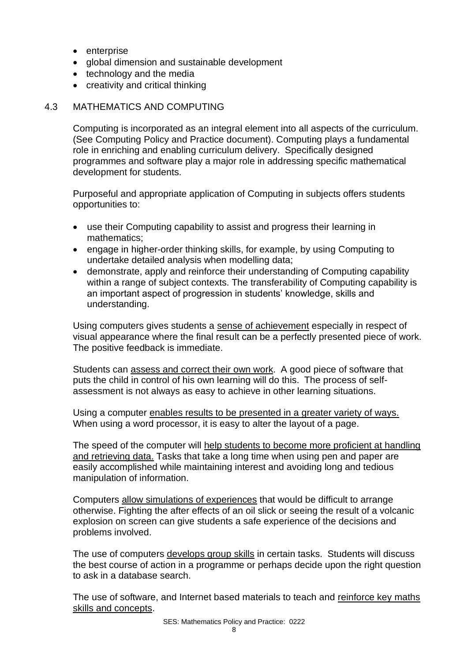- enterprise
- global dimension and sustainable development
- technology and the media
- creativity and critical thinking

#### 4.3 MATHEMATICS AND COMPUTING

Computing is incorporated as an integral element into all aspects of the curriculum. (See Computing Policy and Practice document). Computing plays a fundamental role in enriching and enabling curriculum delivery. Specifically designed programmes and software play a major role in addressing specific mathematical development for students.

Purposeful and appropriate application of Computing in subjects offers students opportunities to:

- use their Computing capability to assist and progress their learning in mathematics;
- engage in higher-order thinking skills, for example, by using Computing to undertake detailed analysis when modelling data;
- demonstrate, apply and reinforce their understanding of Computing capability within a range of subject contexts. The transferability of Computing capability is an important aspect of progression in students' knowledge, skills and understanding.

Using computers gives students a sense of achievement especially in respect of visual appearance where the final result can be a perfectly presented piece of work. The positive feedback is immediate.

Students can assess and correct their own work. A good piece of software that puts the child in control of his own learning will do this. The process of selfassessment is not always as easy to achieve in other learning situations.

Using a computer enables results to be presented in a greater variety of ways. When using a word processor, it is easy to alter the layout of a page.

The speed of the computer will help students to become more proficient at handling and retrieving data. Tasks that take a long time when using pen and paper are easily accomplished while maintaining interest and avoiding long and tedious manipulation of information.

Computers allow simulations of experiences that would be difficult to arrange otherwise. Fighting the after effects of an oil slick or seeing the result of a volcanic explosion on screen can give students a safe experience of the decisions and problems involved.

The use of computers develops group skills in certain tasks. Students will discuss the best course of action in a programme or perhaps decide upon the right question to ask in a database search.

The use of software, and Internet based materials to teach and reinforce key maths skills and concepts.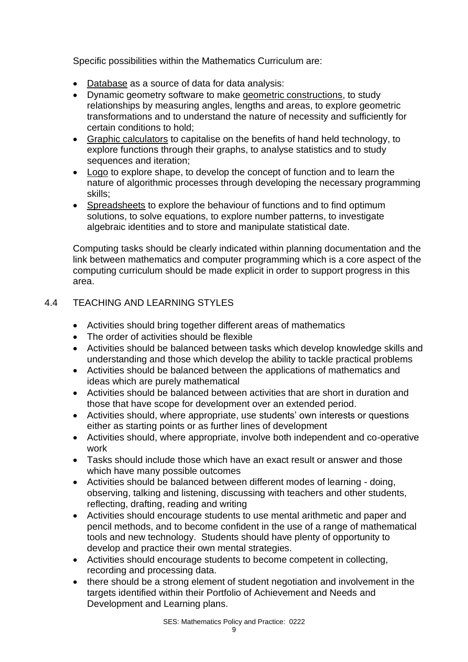Specific possibilities within the Mathematics Curriculum are:

- Database as a source of data for data analysis:
- Dynamic geometry software to make geometric constructions, to study relationships by measuring angles, lengths and areas, to explore geometric transformations and to understand the nature of necessity and sufficiently for certain conditions to hold;
- Graphic calculators to capitalise on the benefits of hand held technology, to explore functions through their graphs, to analyse statistics and to study sequences and iteration:
- Logo to explore shape, to develop the concept of function and to learn the nature of algorithmic processes through developing the necessary programming skills;
- Spreadsheets to explore the behaviour of functions and to find optimum solutions, to solve equations, to explore number patterns, to investigate algebraic identities and to store and manipulate statistical date.

Computing tasks should be clearly indicated within planning documentation and the link between mathematics and computer programming which is a core aspect of the computing curriculum should be made explicit in order to support progress in this area.

# 4.4 TEACHING AND LEARNING STYLES

- Activities should bring together different areas of mathematics
- The order of activities should be flexible
- Activities should be balanced between tasks which develop knowledge skills and understanding and those which develop the ability to tackle practical problems
- Activities should be balanced between the applications of mathematics and ideas which are purely mathematical
- Activities should be balanced between activities that are short in duration and those that have scope for development over an extended period.
- Activities should, where appropriate, use students' own interests or questions either as starting points or as further lines of development
- Activities should, where appropriate, involve both independent and co-operative work
- Tasks should include those which have an exact result or answer and those which have many possible outcomes
- Activities should be balanced between different modes of learning doing, observing, talking and listening, discussing with teachers and other students, reflecting, drafting, reading and writing
- Activities should encourage students to use mental arithmetic and paper and pencil methods, and to become confident in the use of a range of mathematical tools and new technology. Students should have plenty of opportunity to develop and practice their own mental strategies.
- Activities should encourage students to become competent in collecting, recording and processing data.
- there should be a strong element of student negotiation and involvement in the targets identified within their Portfolio of Achievement and Needs and Development and Learning plans.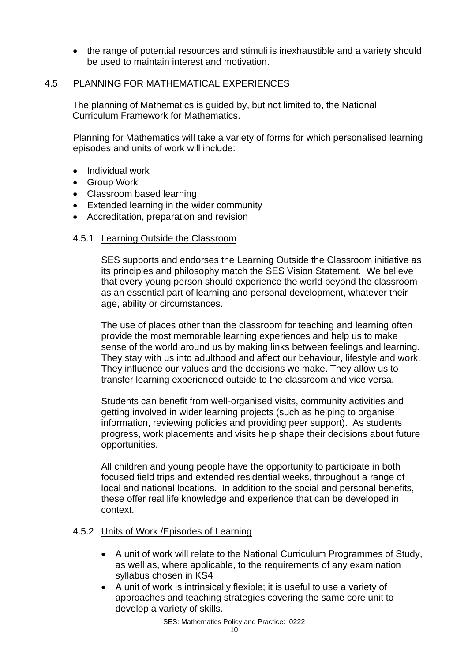• the range of potential resources and stimuli is inexhaustible and a variety should be used to maintain interest and motivation.

#### 4.5 PLANNING FOR MATHEMATICAL EXPERIENCES

The planning of Mathematics is guided by, but not limited to, the National Curriculum Framework for Mathematics.

Planning for Mathematics will take a variety of forms for which personalised learning episodes and units of work will include:

- Individual work
- Group Work
- Classroom based learning
- Extended learning in the wider community
- Accreditation, preparation and revision

#### 4.5.1 Learning Outside the Classroom

SES supports and endorses the Learning Outside the Classroom initiative as its principles and philosophy match the SES Vision Statement. We believe that every young person should experience the world beyond the classroom as an essential part of learning and personal development, whatever their age, ability or circumstances.

The use of places other than the classroom for teaching and learning often provide the most memorable learning experiences and help us to make sense of the world around us by making links between feelings and learning. They stay with us into adulthood and affect our behaviour, lifestyle and work. They influence our values and the decisions we make. They allow us to transfer learning experienced outside to the classroom and vice versa.

Students can benefit from well-organised visits, community activities and getting involved in wider learning projects (such as helping to organise information, reviewing policies and providing peer support). As students progress, work placements and visits help shape their decisions about future opportunities.

All children and young people have the opportunity to participate in both focused field trips and extended residential weeks, throughout a range of local and national locations. In addition to the social and personal benefits, these offer real life knowledge and experience that can be developed in context.

#### 4.5.2 Units of Work /Episodes of Learning

- A unit of work will relate to the National Curriculum Programmes of Study, as well as, where applicable, to the requirements of any examination syllabus chosen in KS4
- A unit of work is intrinsically flexible; it is useful to use a variety of approaches and teaching strategies covering the same core unit to develop a variety of skills.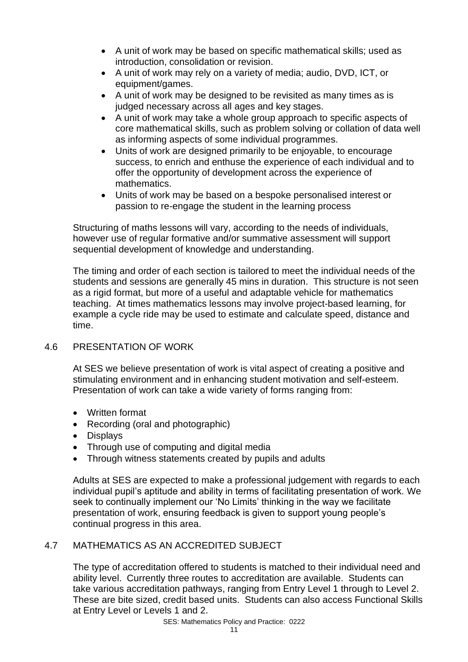- A unit of work may be based on specific mathematical skills; used as introduction, consolidation or revision.
- A unit of work may rely on a variety of media; audio, DVD, ICT, or equipment/games.
- A unit of work may be designed to be revisited as many times as is judged necessary across all ages and key stages.
- A unit of work may take a whole group approach to specific aspects of core mathematical skills, such as problem solving or collation of data well as informing aspects of some individual programmes.
- Units of work are designed primarily to be enjoyable, to encourage success, to enrich and enthuse the experience of each individual and to offer the opportunity of development across the experience of mathematics.
- Units of work may be based on a bespoke personalised interest or passion to re-engage the student in the learning process

Structuring of maths lessons will vary, according to the needs of individuals, however use of regular formative and/or summative assessment will support sequential development of knowledge and understanding.

The timing and order of each section is tailored to meet the individual needs of the students and sessions are generally 45 mins in duration. This structure is not seen as a rigid format, but more of a useful and adaptable vehicle for mathematics teaching. At times mathematics lessons may involve project-based learning, for example a cycle ride may be used to estimate and calculate speed, distance and time.

# 4.6 PRESENTATION OF WORK

At SES we believe presentation of work is vital aspect of creating a positive and stimulating environment and in enhancing student motivation and self-esteem. Presentation of work can take a wide variety of forms ranging from:

- Written format
- Recording (oral and photographic)
- Displays
- Through use of computing and digital media
- Through witness statements created by pupils and adults

Adults at SES are expected to make a professional judgement with regards to each individual pupil's aptitude and ability in terms of facilitating presentation of work. We seek to continually implement our 'No Limits' thinking in the way we facilitate presentation of work, ensuring feedback is given to support young people's continual progress in this area.

# 4.7 MATHEMATICS AS AN ACCREDITED SUBJECT

The type of accreditation offered to students is matched to their individual need and ability level. Currently three routes to accreditation are available. Students can take various accreditation pathways, ranging from Entry Level 1 through to Level 2. These are bite sized, credit based units. Students can also access Functional Skills at Entry Level or Levels 1 and 2.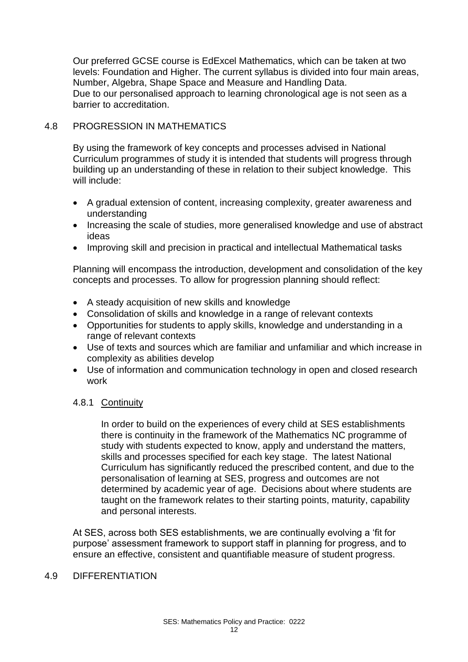Our preferred GCSE course is EdExcel Mathematics, which can be taken at two levels: Foundation and Higher. The current syllabus is divided into four main areas, Number, Algebra, Shape Space and Measure and Handling Data. Due to our personalised approach to learning chronological age is not seen as a barrier to accreditation.

#### 4.8 PROGRESSION IN MATHEMATICS

By using the framework of key concepts and processes advised in National Curriculum programmes of study it is intended that students will progress through building up an understanding of these in relation to their subject knowledge. This will include:

- A gradual extension of content, increasing complexity, greater awareness and understanding
- Increasing the scale of studies, more generalised knowledge and use of abstract ideas
- Improving skill and precision in practical and intellectual Mathematical tasks

Planning will encompass the introduction, development and consolidation of the key concepts and processes. To allow for progression planning should reflect:

- A steady acquisition of new skills and knowledge
- Consolidation of skills and knowledge in a range of relevant contexts
- Opportunities for students to apply skills, knowledge and understanding in a range of relevant contexts
- Use of texts and sources which are familiar and unfamiliar and which increase in complexity as abilities develop
- Use of information and communication technology in open and closed research work

#### 4.8.1 Continuity

In order to build on the experiences of every child at SES establishments there is continuity in the framework of the Mathematics NC programme of study with students expected to know, apply and understand the matters, skills and processes specified for each key stage. The latest National Curriculum has significantly reduced the prescribed content, and due to the personalisation of learning at SES, progress and outcomes are not determined by academic year of age. Decisions about where students are taught on the framework relates to their starting points, maturity, capability and personal interests.

At SES, across both SES establishments, we are continually evolving a 'fit for purpose' assessment framework to support staff in planning for progress, and to ensure an effective, consistent and quantifiable measure of student progress.

#### 4.9 DIFFERENTIATION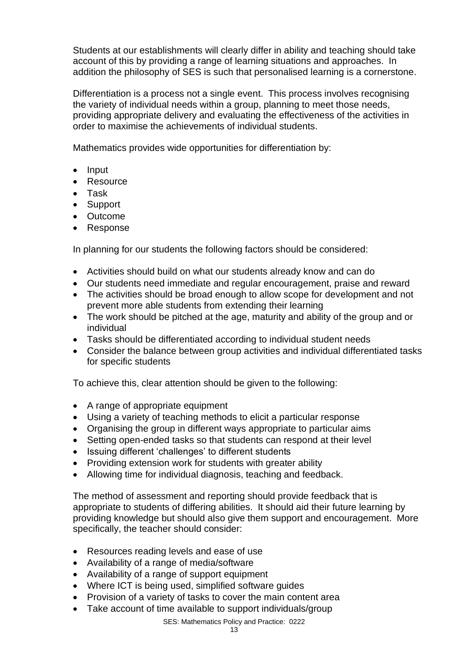Students at our establishments will clearly differ in ability and teaching should take account of this by providing a range of learning situations and approaches. In addition the philosophy of SES is such that personalised learning is a cornerstone.

Differentiation is a process not a single event. This process involves recognising the variety of individual needs within a group, planning to meet those needs, providing appropriate delivery and evaluating the effectiveness of the activities in order to maximise the achievements of individual students.

Mathematics provides wide opportunities for differentiation by:

- Input
- Resource
- Task
- Support
- Outcome
- Response

In planning for our students the following factors should be considered:

- Activities should build on what our students already know and can do
- Our students need immediate and regular encouragement, praise and reward
- The activities should be broad enough to allow scope for development and not prevent more able students from extending their learning
- The work should be pitched at the age, maturity and ability of the group and or individual
- Tasks should be differentiated according to individual student needs
- Consider the balance between group activities and individual differentiated tasks for specific students

To achieve this, clear attention should be given to the following:

- A range of appropriate equipment
- Using a variety of teaching methods to elicit a particular response
- Organising the group in different ways appropriate to particular aims
- Setting open-ended tasks so that students can respond at their level
- Issuing different 'challenges' to different students
- Providing extension work for students with greater ability
- Allowing time for individual diagnosis, teaching and feedback.

The method of assessment and reporting should provide feedback that is appropriate to students of differing abilities. It should aid their future learning by providing knowledge but should also give them support and encouragement. More specifically, the teacher should consider:

- Resources reading levels and ease of use
- Availability of a range of media/software
- Availability of a range of support equipment
- Where ICT is being used, simplified software guides
- Provision of a variety of tasks to cover the main content area
- Take account of time available to support individuals/group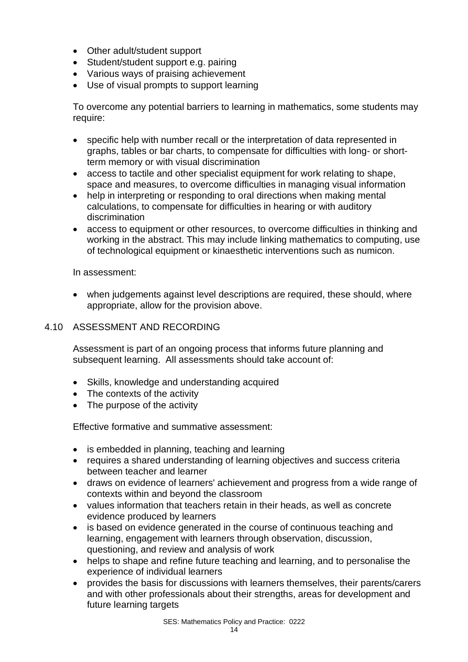- Other adult/student support
- Student/student support e.g. pairing
- Various ways of praising achievement
- Use of visual prompts to support learning

To overcome any potential barriers to learning in mathematics, some students may require:

- specific help with number recall or the interpretation of data represented in graphs, tables or bar charts, to compensate for difficulties with long- or shortterm memory or with visual discrimination
- access to tactile and other specialist equipment for work relating to shape, space and measures, to overcome difficulties in managing visual information
- help in interpreting or responding to oral directions when making mental calculations, to compensate for difficulties in hearing or with auditory discrimination
- access to equipment or other resources, to overcome difficulties in thinking and working in the abstract. This may include linking mathematics to computing, use of technological equipment or kinaesthetic interventions such as numicon.

In assessment:

• when judgements against level descriptions are required, these should, where appropriate, allow for the provision above.

# 4.10 ASSESSMENT AND RECORDING

Assessment is part of an ongoing process that informs future planning and subsequent learning. All assessments should take account of:

- Skills, knowledge and understanding acquired
- The contexts of the activity
- The purpose of the activity

Effective formative and summative assessment:

- is embedded in planning, teaching and learning
- requires a shared understanding of learning objectives and success criteria between teacher and learner
- draws on evidence of learners' achievement and progress from a wide range of contexts within and beyond the classroom
- values information that teachers retain in their heads, as well as concrete evidence produced by learners
- is based on evidence generated in the course of continuous teaching and learning, engagement with learners through observation, discussion, questioning, and review and analysis of work
- helps to shape and refine future teaching and learning, and to personalise the experience of individual learners
- provides the basis for discussions with learners themselves, their parents/carers and with other professionals about their strengths, areas for development and future learning targets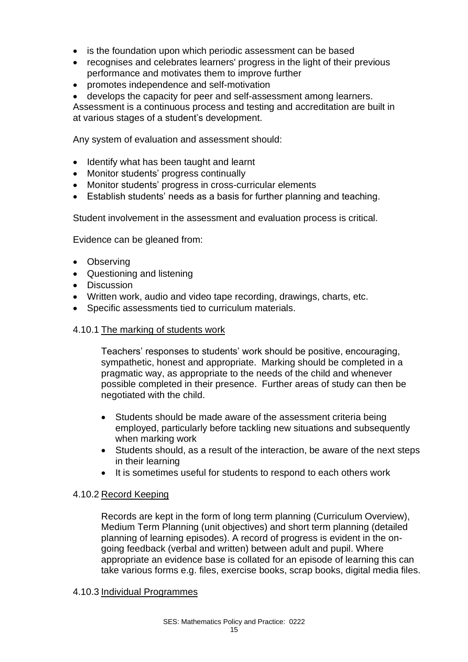- is the foundation upon which periodic assessment can be based
- recognises and celebrates learners' progress in the light of their previous performance and motivates them to improve further
- promotes independence and self-motivation
- develops the capacity for peer and self-assessment among learners.

Assessment is a continuous process and testing and accreditation are built in at various stages of a student's development.

Any system of evaluation and assessment should:

- Identify what has been taught and learnt
- Monitor students' progress continually
- Monitor students' progress in cross-curricular elements
- Establish students' needs as a basis for further planning and teaching.

Student involvement in the assessment and evaluation process is critical.

Evidence can be gleaned from:

- Observing
- Questioning and listening
- Discussion
- Written work, audio and video tape recording, drawings, charts, etc.
- Specific assessments tied to curriculum materials.

#### 4.10.1 The marking of students work

Teachers' responses to students' work should be positive, encouraging, sympathetic, honest and appropriate. Marking should be completed in a pragmatic way, as appropriate to the needs of the child and whenever possible completed in their presence. Further areas of study can then be negotiated with the child.

- Students should be made aware of the assessment criteria being employed, particularly before tackling new situations and subsequently when marking work
- Students should, as a result of the interaction, be aware of the next steps in their learning
- It is sometimes useful for students to respond to each others work

#### 4.10.2 Record Keeping

Records are kept in the form of long term planning (Curriculum Overview), Medium Term Planning (unit objectives) and short term planning (detailed planning of learning episodes). A record of progress is evident in the ongoing feedback (verbal and written) between adult and pupil. Where appropriate an evidence base is collated for an episode of learning this can take various forms e.g. files, exercise books, scrap books, digital media files.

#### 4.10.3 Individual Programmes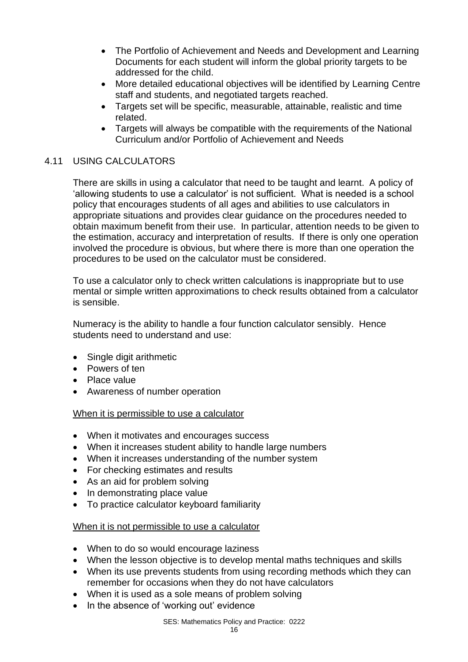- The Portfolio of Achievement and Needs and Development and Learning Documents for each student will inform the global priority targets to be addressed for the child.
- More detailed educational objectives will be identified by Learning Centre staff and students, and negotiated targets reached.
- Targets set will be specific, measurable, attainable, realistic and time related.
- Targets will always be compatible with the requirements of the National Curriculum and/or Portfolio of Achievement and Needs

# 4.11 USING CALCULATORS

There are skills in using a calculator that need to be taught and learnt. A policy of 'allowing students to use a calculator' is not sufficient. What is needed is a school policy that encourages students of all ages and abilities to use calculators in appropriate situations and provides clear guidance on the procedures needed to obtain maximum benefit from their use. In particular, attention needs to be given to the estimation, accuracy and interpretation of results. If there is only one operation involved the procedure is obvious, but where there is more than one operation the procedures to be used on the calculator must be considered.

To use a calculator only to check written calculations is inappropriate but to use mental or simple written approximations to check results obtained from a calculator is sensible.

Numeracy is the ability to handle a four function calculator sensibly. Hence students need to understand and use:

- Single digit arithmetic
- Powers of ten
- Place value
- Awareness of number operation

#### When it is permissible to use a calculator

- When it motivates and encourages success
- When it increases student ability to handle large numbers
- When it increases understanding of the number system
- For checking estimates and results
- As an aid for problem solving
- In demonstrating place value
- To practice calculator keyboard familiarity

#### When it is not permissible to use a calculator

- When to do so would encourage laziness
- When the lesson objective is to develop mental maths techniques and skills
- When its use prevents students from using recording methods which they can remember for occasions when they do not have calculators
- When it is used as a sole means of problem solving
- In the absence of 'working out' evidence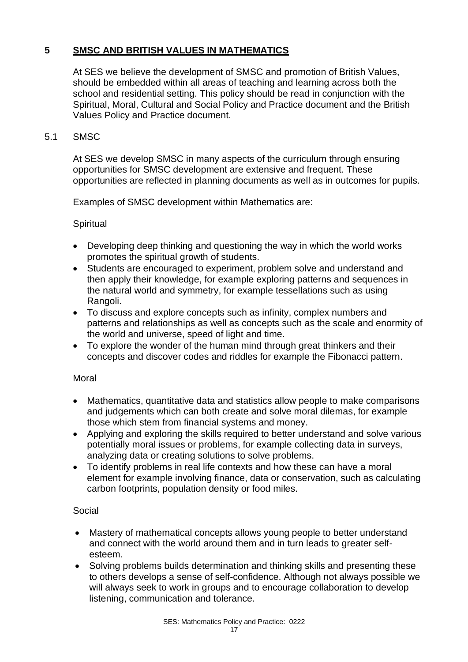# **5 SMSC AND BRITISH VALUES IN MATHEMATICS**

At SES we believe the development of SMSC and promotion of British Values, should be embedded within all areas of teaching and learning across both the school and residential setting. This policy should be read in conjunction with the Spiritual, Moral, Cultural and Social Policy and Practice document and the British Values Policy and Practice document.

#### 5.1 SMSC

At SES we develop SMSC in many aspects of the curriculum through ensuring opportunities for SMSC development are extensive and frequent. These opportunities are reflected in planning documents as well as in outcomes for pupils.

Examples of SMSC development within Mathematics are:

#### **Spiritual**

- Developing deep thinking and questioning the way in which the world works promotes the spiritual growth of students.
- Students are encouraged to experiment, problem solve and understand and then apply their knowledge, for example exploring patterns and sequences in the natural world and symmetry, for example tessellations such as using Rangoli.
- To discuss and explore concepts such as infinity, complex numbers and patterns and relationships as well as concepts such as the scale and enormity of the world and universe, speed of light and time.
- To explore the wonder of the human mind through great thinkers and their concepts and discover codes and riddles for example the Fibonacci pattern.

#### Moral

- Mathematics, quantitative data and statistics allow people to make comparisons and judgements which can both create and solve moral dilemas, for example those which stem from financial systems and money.
- Applying and exploring the skills required to better understand and solve various potentially moral issues or problems, for example collecting data in surveys, analyzing data or creating solutions to solve problems.
- To identify problems in real life contexts and how these can have a moral element for example involving finance, data or conservation, such as calculating carbon footprints, population density or food miles.

# Social

- Mastery of mathematical concepts allows young people to better understand and connect with the world around them and in turn leads to greater selfesteem.
- Solving problems builds determination and thinking skills and presenting these to others develops a sense of self-confidence. Although not always possible we will always seek to work in groups and to encourage collaboration to develop listening, communication and tolerance.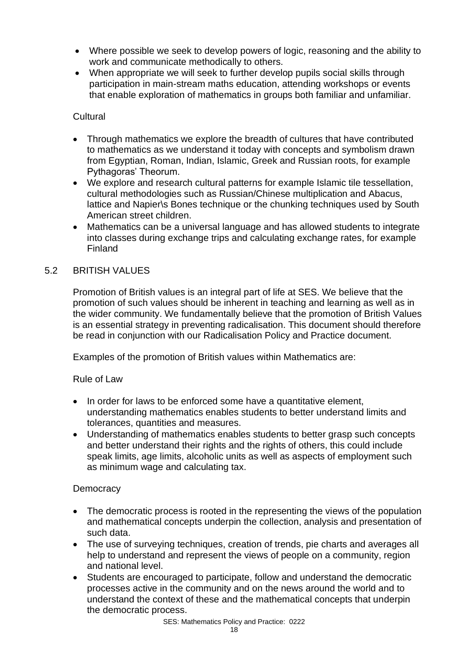- Where possible we seek to develop powers of logic, reasoning and the ability to work and communicate methodically to others.
- When appropriate we will seek to further develop pupils social skills through participation in main-stream maths education, attending workshops or events that enable exploration of mathematics in groups both familiar and unfamiliar.

#### **Cultural**

- Through mathematics we explore the breadth of cultures that have contributed to mathematics as we understand it today with concepts and symbolism drawn from Egyptian, Roman, Indian, Islamic, Greek and Russian roots, for example Pythagoras' Theorum.
- We explore and research cultural patterns for example Islamic tile tessellation, cultural methodologies such as Russian/Chinese multiplication and Abacus, lattice and Napier\s Bones technique or the chunking techniques used by South American street children.
- Mathematics can be a universal language and has allowed students to integrate into classes during exchange trips and calculating exchange rates, for example Finland

#### 5.2 BRITISH VALUES

Promotion of British values is an integral part of life at SES. We believe that the promotion of such values should be inherent in teaching and learning as well as in the wider community. We fundamentally believe that the promotion of British Values is an essential strategy in preventing radicalisation. This document should therefore be read in conjunction with our Radicalisation Policy and Practice document.

Examples of the promotion of British values within Mathematics are:

#### Rule of Law

- In order for laws to be enforced some have a quantitative element, understanding mathematics enables students to better understand limits and tolerances, quantities and measures.
- Understanding of mathematics enables students to better grasp such concepts and better understand their rights and the rights of others, this could include speak limits, age limits, alcoholic units as well as aspects of employment such as minimum wage and calculating tax.

#### **Democracy**

- The democratic process is rooted in the representing the views of the population and mathematical concepts underpin the collection, analysis and presentation of such data.
- The use of surveying techniques, creation of trends, pie charts and averages all help to understand and represent the views of people on a community, region and national level.
- Students are encouraged to participate, follow and understand the democratic processes active in the community and on the news around the world and to understand the context of these and the mathematical concepts that underpin the democratic process.